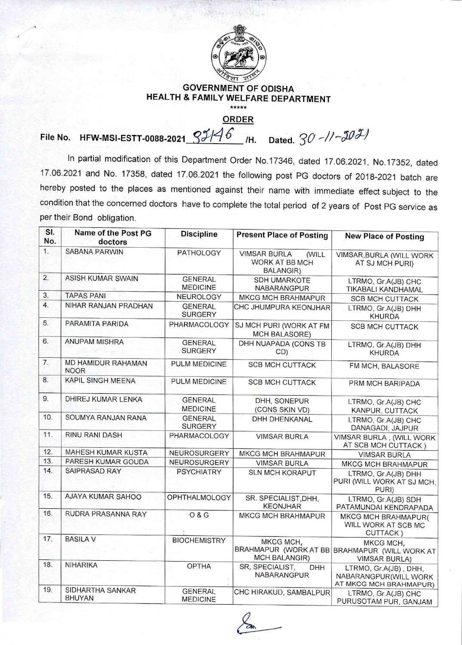

## **GOVERNMENT OF ODISHA HEALTH & FAMILY WELFARE DEPARTMENT**  \*\*\*\*\*

**ORDER** 

**File No. HFW-MSI-ESTT-0088-2021**  $\frac{93}{46}$  **/H. Dated.**  $30$  **-11-3031** 

In partial modification of this Department Order No.17346, dated 17.06.2021, No.17352, dated 17.06.2021 and No. 17358, dated 17.06.2021 the following post PG doctors of 2018-2021 batch are hereby posted to the places as mentioned against their name with immediate effect subject to the condition that the concerned doctors have to complete the total period of 2 years of Post PG service as per their Bond obligation.

| SI.<br>No. | Name of the Post PG<br>doctors    | <b>Discipline</b>                 | <b>Present Place of Posting</b>                             | <b>New Place of Posting</b>                                                        |
|------------|-----------------------------------|-----------------------------------|-------------------------------------------------------------|------------------------------------------------------------------------------------|
| 1.         | <b>SABANA PARWIN</b>              | <b>PATHOLOGY</b>                  | <b>VIMSAR BURLA</b><br>(WILL<br>WORK AT BB MCH<br>BALANGIR) | VIMSAR, BURLA (WILL WORK<br>AT SJ MCH PURI)                                        |
| 2.         | ASISH KUMAR SWAIN                 | <b>GENERAL</b><br><b>MEDICINE</b> | <b>SDH UMARKOTE</b><br>NABARANGPUR                          | LTRMO, Gr.A(JB) CHC<br>TIKABALI KANDHAMAL                                          |
| 3.         | <b>TAPAS PANI</b>                 | NEUROLOGY                         | MKCG MCH BRAHMAPUR                                          | <b>SCB MCH CUTTACK</b>                                                             |
| 4.         | NIHAR RANJAN PRADHAN              | <b>GENERAL</b><br><b>SURGERY</b>  | CHC JHUMPURA KEONJHAR                                       | LTRMO, Gr.A(JB) DHH<br><b>KHURDA</b>                                               |
| 5.         | PARAMITA PARIDA                   | PHARMACOLOGY                      | SJ MCH PURI (WORK AT FM<br><b>MCH BALASORE)</b>             | <b>SCB MCH CUTTACK</b>                                                             |
| 6.         | ANUPAM MISHRA                     | <b>GENERAL</b><br><b>SURGERY</b>  | DHH NUAPADA (CONS TB<br>CD)                                 | LTRMO, Gr.A(JB) DHH<br><b>KHURDA</b>                                               |
| 7.         | MD HAMIDUR RAHAMAN<br><b>NOOR</b> | PULM MEDICINE                     | <b>SCB MCH CUTTACK</b>                                      | FM MCH, BALASORE                                                                   |
| 8.         | KAPIL SINGH MEENA                 | <b>PULM MEDICINE</b>              | <b>SCB MCH CUTTACK</b>                                      | PRM MCH BARIPADA                                                                   |
| 9.         | DHIREJ KUMAR LENKA                | <b>GENERAL</b><br><b>MEDICINE</b> | DHH, SONEPUR<br>(CONS SKIN VD)                              | LTRMO, Gr.A(JB) CHC<br>KANPUR, CUTTACK                                             |
| 10.        | SOUMYA RANJAN RANA                | <b>GENERAL</b><br><b>SURGERY</b>  | <b>DHH DHENKANAL</b>                                        | LTRMO, Gr.A(JB) CHC<br>DANAGADI, JAJPUR                                            |
| 11.        | RINU RANI DASH                    | PHARMACOLOGY                      | <b>VIMSAR BURLA</b>                                         | VIMSAR BURLA, (WILL WORK<br>AT SCB MCH CUTTACK)                                    |
| 12.        | MAHESH KUMAR KUSTA                | NEUROSURGERY                      | MKCG MCH BRAHMAPUR                                          | <b>VIMSAR BURLA</b>                                                                |
| 13.        | PARESH KUMAR GOUDA                | <b>NEUROSURGERY</b>               | <b>VIMSAR BURLA</b>                                         | MKCG MCH BRAHMAPUR                                                                 |
| 14.        | SAIPRASAD RAY                     | <b>PSYCHIATRY</b>                 | SLN MCH KORAPUT                                             | LTRMO, Gr.A(JB) DHH<br>PURI (WILL WORK AT SJ MCH,<br>PURI)                         |
| 15.        | AJAYA KUMAR SAHOO                 | <b>OPHTHALMOLOGY</b>              | SR. SPECIALIST, DHH,<br><b>KEONJHAR</b>                     | LTRMO, Gr.A(JB) SDH<br>PATAMUNDAI KENDRAPADA                                       |
| 16.        | RUDRA PRASANNA RAY                | <b>O&amp;G</b>                    | MKCG MCH BRAHMAPUR                                          | MKCG MCH BRAHMAPUR(<br>WILL WORK AT SCB MC<br>CUTTACK)                             |
| 17.        | <b>BASILA V</b>                   | <b>BIOCHEMISTRY</b>               | MKCG MCH,<br><b>MCH BALANGIR)</b>                           | MKCG MCH,<br>BRAHMAPUR (WORK AT BB BRAHMAPUR (WILL WORK AT<br><b>VIMSAR BURLA)</b> |
| 18.        | <b>NIHARIKA</b>                   | OPTHA                             | SR, SPECIALIST,<br><b>DHH</b><br>NABARANGPUR                | LTRMO, Gr.A(JB), DHH,<br>NABARANGPUR(WILL WORK<br>AT MKCG MCH BRAHMAPUR)           |
| 19.        | SIDHARTHA SANKAR<br><b>BHUYAN</b> | <b>GENERAL</b><br><b>MEDICINE</b> | CHC HIRAKUD, SAMBALPUR                                      | LTRMO, Gr.A(JB) CHC<br>PURUSOTAM PUR, GANJAM                                       |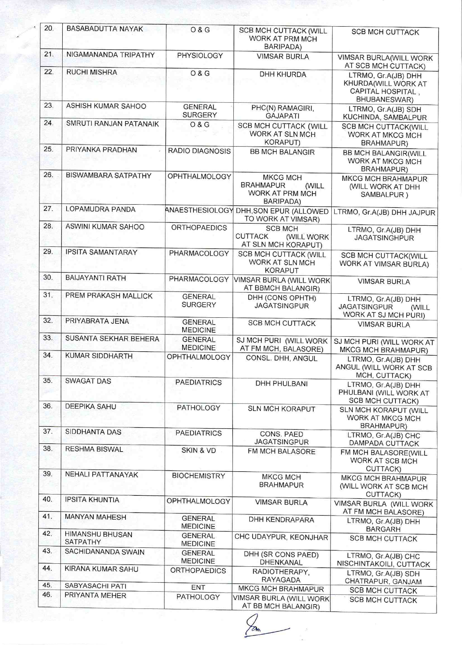| 20. | BASABADUTTA NAYAK                  | <b>0&amp;G</b>                    | <b>SCB MCH CUTTACK (WILL</b><br>WORK AT PRM MCH<br>BARIPADA)                 | <b>SCB MCH CUTTACK</b>                                                           |
|-----|------------------------------------|-----------------------------------|------------------------------------------------------------------------------|----------------------------------------------------------------------------------|
| 21. | NIGAMANANDA TRIPATHY               | PHYSIOLOGY                        | <b>VIMSAR BURLA</b>                                                          | VIMSAR BURLA (WILL WORK<br>AT SCB MCH CUTTACK)                                   |
| 22. | <b>RUCHI MISHRA</b>                | <b>0&amp;G</b>                    | <b>DHH KHURDA</b>                                                            | LTRMO, Gr.A(JB) DHH<br>KHURDA (WILL WORK AT<br>CAPITAL HOSPITAL,<br>BHUBANESWAR) |
| 23. | ASHISH KUMAR SAHOO                 | <b>GENERAL</b><br><b>SURGERY</b>  | PHC(N) RAMAGIRI,<br><b>GAJAPATI</b>                                          | LTRMO, Gr.A(JB) SDH<br>KUCHINDA, SAMBALPUR                                       |
| 24. | SMRUTI RANJAN PATANAIK             | <b>O&amp;G</b>                    | <b>SCB MCH CUTTACK (WILL</b><br><b>WORK AT SLN MCH</b><br><b>KORAPUT)</b>    | <b>SCB MCH CUTTACK(WILL</b><br>WORK AT MKCG MCH<br><b>BRAHMAPUR)</b>             |
| 25. | PRIYANKA PRADHAN                   | <b>RADIO DIAGNOSIS</b>            | <b>BB MCH BALANGIR</b>                                                       | <b>BB MCH BALANGIR(WILL</b><br>WORK AT MKCG MCH<br><b>BRAHMAPUR)</b>             |
| 26. | <b>BISWAMBARA SATPATHY</b>         | <b>OPHTHALMOLOGY</b>              | <b>MKCG MCH</b><br><b>BRAHMAPUR</b><br>(WILL<br>WORK AT PRM MCH<br>BARIPADA) | <b>MKCG MCH BRAHMAPUR</b><br>(WILL WORK AT DHH<br>SAMBALPUR)                     |
| 27. | LOPAMUDRA PANDA                    | ANAESTHESIOLOGY                   | DHH, SON EPUR (ALLOWED<br>TO WORK AT VIMSAR)                                 | LTRMO, Gr.A(JB) DHH JAJPUR                                                       |
| 28. | ASWINI KUMAR SAHOO                 | <b>ORTHOPAEDICS</b>               | <b>SCB MCH</b><br><b>CUTTACK</b><br>(WILL WORK<br>AT SLN MCH KORAPUT)        | LTRMO, Gr.A(JB) DHH<br><b>JAGATSINGHPUR</b>                                      |
| 29. | <b>IPSITA SAMANTARAY</b>           | PHARMACOLOGY                      | <b>SCB MCH CUTTACK (WILL</b><br>WORK AT SLN MCH<br><b>KORAPUT</b>            | <b>SCB MCH CUTTACK(WILL</b><br>WORK AT VIMSAR BURLA)                             |
| 30. | <b>BAIJAYANTI RATH</b>             | PHARMACOLOGY                      | VIMSAR BURLA (WILL WORK<br>AT BBMCH BALANGIR)                                | <b>VIMSAR BURLA</b>                                                              |
| 31. | PREM PRAKASH MALLICK               | <b>GENERAL</b><br><b>SURGERY</b>  | DHH (CONS OPHTH)<br><b>JAGATSINGPUR</b>                                      | LTRMO, Gr.A(JB) DHH<br><b>JAGATSINGPUR</b><br>(WILL<br>WORK AT SJ MCH PURI)      |
| 32. | PRIYABRATA JENA                    | <b>GENERAL</b><br><b>MEDICINE</b> | <b>SCB MCH CUTTACK</b>                                                       | <b>VIMSAR BURLA</b>                                                              |
| 33. | SUSANTA SEKHAR BEHERA              | <b>GENERAL</b><br><b>MEDICINE</b> | SJ MCH PURI (WILL WORK<br>AT FM MCH, BALASORE)                               | SJ MCH PURI (WILL WORK AT<br><b>MKCG MCH BRAHMAPUR)</b>                          |
| 34. | <b>KUMAR SIDDHARTH</b>             | OPHTHALMOLOGY                     | CONSL. DHH, ANGUL                                                            | LTRMO, Gr.A(JB) DHH<br>ANGUL (WILL WORK AT SCB<br>MCH, CUTTACK)                  |
| 35. | SWAGAT DAS                         | <b>PAEDIATRICS</b>                | <b>DHH PHULBANI</b>                                                          | LTRMO, Gr.A(JB) DHH<br>PHULBANI (WILL WORK AT<br><b>SCB MCH CUTTACK)</b>         |
| 36. | <b>DEEPIKA SAHU</b>                | PATHOLOGY                         | <b>SLN MCH KORAPUT</b>                                                       | SLN MCH KORAPUT (WILL<br>WORK AT MKCG MCH<br><b>BRAHMAPUR)</b>                   |
| 37. | SIDDHANTA DAS                      | <b>PAEDIATRICS</b>                | CONS. PAED<br><b>JAGATSINGPUR</b>                                            | LTRMO, Gr.A(JB) CHC<br>DAMPADA CUTTACK                                           |
| 38. | RESHMA BISWAL                      | <b>SKIN &amp; VD</b>              | FM MCH BALASORE                                                              | FM MCH BALASORE(WILL<br>WORK AT SCB MCH<br>CUTTACK)                              |
| 39. | NEHALI PATTANAYAK                  | <b>BIOCHEMISTRY</b>               | <b>MKCG MCH</b><br><b>BRAHMAPUR</b>                                          | MKCG MCH BRAHMAPUR<br>(WILL WORK AT SCB MCH                                      |
| 40. | <b>IPSITA KHUNTIA</b>              | OPHTHALMOLOGY                     | <b>VIMSAR BURLA</b>                                                          | CUTTACK)<br>VIMSAR BURLA (WILL WORK<br>AT FM MCH BALASORE)                       |
| 41. | <b>MANYAN MAHESH</b>               | <b>GENERAL</b><br><b>MEDICINE</b> | DHH KENDRAPARA                                                               | LTRMO, Gr.A(JB) DHH<br><b>BARGARH</b>                                            |
| 42. | HIMANSHU BHUSAN<br><b>SATPATHY</b> | <b>GENERAL</b><br><b>MEDICINE</b> | CHC UDAYPUR, KEONJHAR                                                        | <b>SCB MCH CUTTACK</b>                                                           |
| 43. | SACHIDANANDA SWAIN                 | <b>GENERAL</b><br><b>MEDICINE</b> | DHH (SR CONS PAED)<br>DHENKANAL                                              | LTRMO, Gr.A(JB) CHC<br>NISCHINTAKOILI, CUTTACK                                   |
| 44. | KIRANA KUMAR SAHU                  | <b>ORTHOPAEDICS</b>               | RADIOTHERAPY,<br>RAYAGADA                                                    | LTRMO, Gr.A(JB) SDH<br>CHATRAPUR, GANJAM                                         |
| 45. | SABYASACHI PATI                    | <b>ENT</b>                        | MKCG MCH BRAHMAPUR                                                           | <b>SCB MCH CUTTACK</b>                                                           |
| 46. | PRIYANTA MEHER                     | PATHOLOGY                         | VIMSAR BURLA (WILL WORK<br>AT BB MCH BALANGIR)                               | <b>SCB MCH CUTTACK</b>                                                           |

 $\frac{1}{2}$